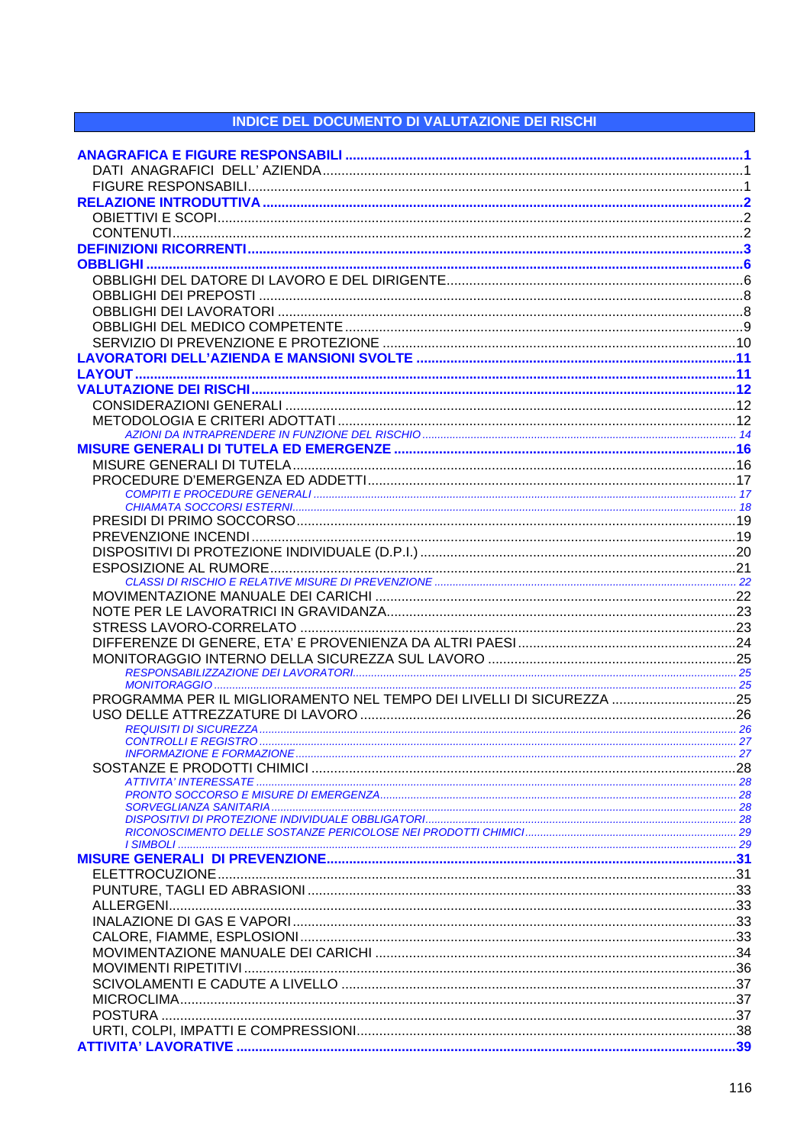## **INDICE DEL DOCUMENTO DI VALUTAZIONE DEI RISCHI**

| PROGRAMMA PER IL MIGLIORAMENTO NEL TEMPO DEI LIVELLI DI SICUREZZA 25 |  |
|----------------------------------------------------------------------|--|
|                                                                      |  |
|                                                                      |  |
|                                                                      |  |
|                                                                      |  |
|                                                                      |  |
|                                                                      |  |
|                                                                      |  |
|                                                                      |  |
|                                                                      |  |
|                                                                      |  |
|                                                                      |  |
|                                                                      |  |
|                                                                      |  |
|                                                                      |  |
|                                                                      |  |
|                                                                      |  |
|                                                                      |  |
|                                                                      |  |
|                                                                      |  |
|                                                                      |  |
|                                                                      |  |
|                                                                      |  |
|                                                                      |  |
|                                                                      |  |
|                                                                      |  |